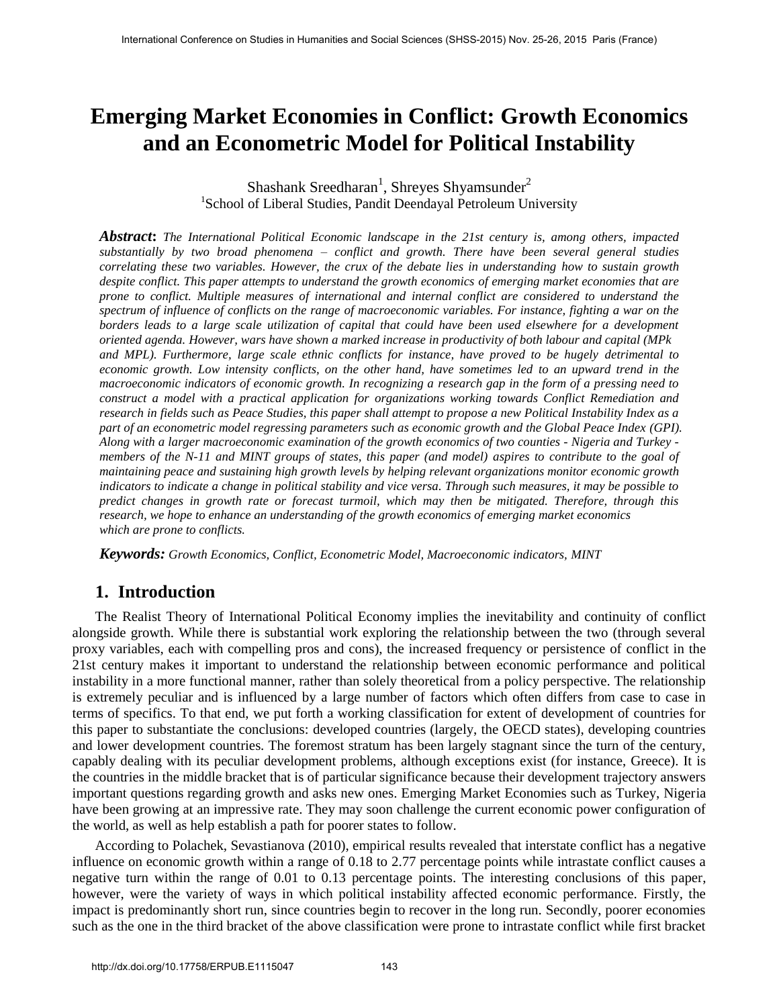# **Emerging Market Economies in Conflict: Growth Economics and an Econometric Model for Political Instability**

Shashank Sreedharan<sup>1</sup>, Shreyes Shyamsunder<sup>2</sup> <sup>1</sup>School of Liberal Studies, Pandit Deendayal Petroleum University

*Abstract***:** *The International Political Economic landscape in the 21st century is, among others, impacted substantially by two broad phenomena – conflict and growth. There have been several general studies correlating these two variables. However, the crux of the debate lies in understanding how to sustain growth despite conflict. This paper attempts to understand the growth economics of emerging market economies that are prone to conflict. Multiple measures of international and internal conflict are considered to understand the spectrum of influence of conflicts on the range of macroeconomic variables. For instance, fighting a war on the borders leads to a large scale utilization of capital that could have been used elsewhere for a development oriented agenda. However, wars have shown a marked increase in productivity of both labour and capital (MPk and MPL). Furthermore, large scale ethnic conflicts for instance, have proved to be hugely detrimental to economic growth. Low intensity conflicts, on the other hand, have sometimes led to an upward trend in the macroeconomic indicators of economic growth. In recognizing a research gap in the form of a pressing need to construct a model with a practical application for organizations working towards Conflict Remediation and research in fields such as Peace Studies, this paper shall attempt to propose a new Political Instability Index as a part of an econometric model regressing parameters such as economic growth and the Global Peace Index (GPI). Along with a larger macroeconomic examination of the growth economics of two counties - Nigeria and Turkey members of the N-11 and MINT groups of states, this paper (and model) aspires to contribute to the goal of maintaining peace and sustaining high growth levels by helping relevant organizations monitor economic growth indicators to indicate a change in political stability and vice versa. Through such measures, it may be possible to predict changes in growth rate or forecast turmoil, which may then be mitigated. Therefore, through this research, we hope to enhance an understanding of the growth economics of emerging market economics which are prone to conflicts.* 

*Keywords: Growth Economics, Conflict, Econometric Model, Macroeconomic indicators, MINT* 

#### **1. Introduction**

The Realist Theory of International Political Economy implies the inevitability and continuity of conflict alongside growth. While there is substantial work exploring the relationship between the two (through several proxy variables, each with compelling pros and cons), the increased frequency or persistence of conflict in the 21st century makes it important to understand the relationship between economic performance and political instability in a more functional manner, rather than solely theoretical from a policy perspective. The relationship is extremely peculiar and is influenced by a large number of factors which often differs from case to case in terms of specifics. To that end, we put forth a working classification for extent of development of countries for this paper to substantiate the conclusions: developed countries (largely, the OECD states), developing countries and lower development countries. The foremost stratum has been largely stagnant since the turn of the century, capably dealing with its peculiar development problems, although exceptions exist (for instance, Greece). It is the countries in the middle bracket that is of particular significance because their development trajectory answers important questions regarding growth and asks new ones. Emerging Market Economies such as Turkey, Nigeria have been growing at an impressive rate. They may soon challenge the current economic power configuration of the world, as well as help establish a path for poorer states to follow.

According to Polachek, Sevastianova (2010), empirical results revealed that interstate conflict has a negative influence on economic growth within a range of 0.18 to 2.77 percentage points while intrastate conflict causes a negative turn within the range of 0.01 to 0.13 percentage points. The interesting conclusions of this paper, however, were the variety of ways in which political instability affected economic performance. Firstly, the impact is predominantly short run, since countries begin to recover in the long run. Secondly, poorer economies such as the one in the third bracket of the above classification were prone to intrastate conflict while first bracket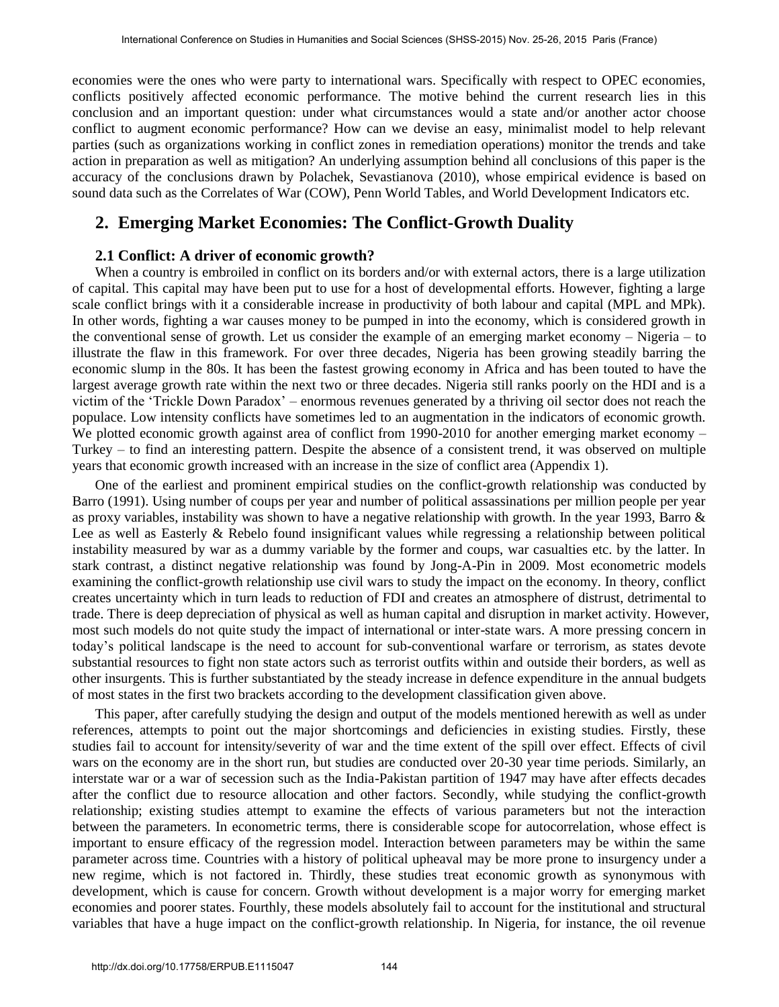economies were the ones who were party to international wars. Specifically with respect to OPEC economies, conflicts positively affected economic performance. The motive behind the current research lies in this conclusion and an important question: under what circumstances would a state and/or another actor choose conflict to augment economic performance? How can we devise an easy, minimalist model to help relevant parties (such as organizations working in conflict zones in remediation operations) monitor the trends and take action in preparation as well as mitigation? An underlying assumption behind all conclusions of this paper is the accuracy of the conclusions drawn by Polachek, Sevastianova (2010), whose empirical evidence is based on sound data such as the Correlates of War (COW), Penn World Tables, and World Development Indicators etc.

## **2. Emerging Market Economies: The Conflict-Growth Duality**

#### **2.1 Conflict: A driver of economic growth?**

When a country is embroiled in conflict on its borders and/or with external actors, there is a large utilization of capital. This capital may have been put to use for a host of developmental efforts. However, fighting a large scale conflict brings with it a considerable increase in productivity of both labour and capital (MPL and MPk). In other words, fighting a war causes money to be pumped in into the economy, which is considered growth in the conventional sense of growth. Let us consider the example of an emerging market economy – Nigeria – to illustrate the flaw in this framework. For over three decades, Nigeria has been growing steadily barring the economic slump in the 80s. It has been the fastest growing economy in Africa and has been touted to have the largest average growth rate within the next two or three decades. Nigeria still ranks poorly on the HDI and is a victim of the 'Trickle Down Paradox' – enormous revenues generated by a thriving oil sector does not reach the populace. Low intensity conflicts have sometimes led to an augmentation in the indicators of economic growth. We plotted economic growth against area of conflict from 1990-2010 for another emerging market economy – Turkey – to find an interesting pattern. Despite the absence of a consistent trend, it was observed on multiple years that economic growth increased with an increase in the size of conflict area (Appendix 1).

One of the earliest and prominent empirical studies on the conflict-growth relationship was conducted by Barro (1991). Using number of coups per year and number of political assassinations per million people per year as proxy variables, instability was shown to have a negative relationship with growth. In the year 1993, Barro  $\&$ Lee as well as Easterly & Rebelo found insignificant values while regressing a relationship between political instability measured by war as a dummy variable by the former and coups, war casualties etc. by the latter. In stark contrast, a distinct negative relationship was found by Jong-A-Pin in 2009. Most econometric models examining the conflict-growth relationship use civil wars to study the impact on the economy. In theory, conflict creates uncertainty which in turn leads to reduction of FDI and creates an atmosphere of distrust, detrimental to trade. There is deep depreciation of physical as well as human capital and disruption in market activity. However, most such models do not quite study the impact of international or inter-state wars. A more pressing concern in today's political landscape is the need to account for sub-conventional warfare or terrorism, as states devote substantial resources to fight non state actors such as terrorist outfits within and outside their borders, as well as other insurgents. This is further substantiated by the steady increase in defence expenditure in the annual budgets of most states in the first two brackets according to the development classification given above.

This paper, after carefully studying the design and output of the models mentioned herewith as well as under references, attempts to point out the major shortcomings and deficiencies in existing studies. Firstly, these studies fail to account for intensity/severity of war and the time extent of the spill over effect. Effects of civil wars on the economy are in the short run, but studies are conducted over 20-30 year time periods. Similarly, an interstate war or a war of secession such as the India-Pakistan partition of 1947 may have after effects decades after the conflict due to resource allocation and other factors. Secondly, while studying the conflict-growth relationship; existing studies attempt to examine the effects of various parameters but not the interaction between the parameters. In econometric terms, there is considerable scope for autocorrelation, whose effect is important to ensure efficacy of the regression model. Interaction between parameters may be within the same parameter across time. Countries with a history of political upheaval may be more prone to insurgency under a new regime, which is not factored in. Thirdly, these studies treat economic growth as synonymous with development, which is cause for concern. Growth without development is a major worry for emerging market economies and poorer states. Fourthly, these models absolutely fail to account for the institutional and structural variables that have a huge impact on the conflict-growth relationship. In Nigeria, for instance, the oil revenue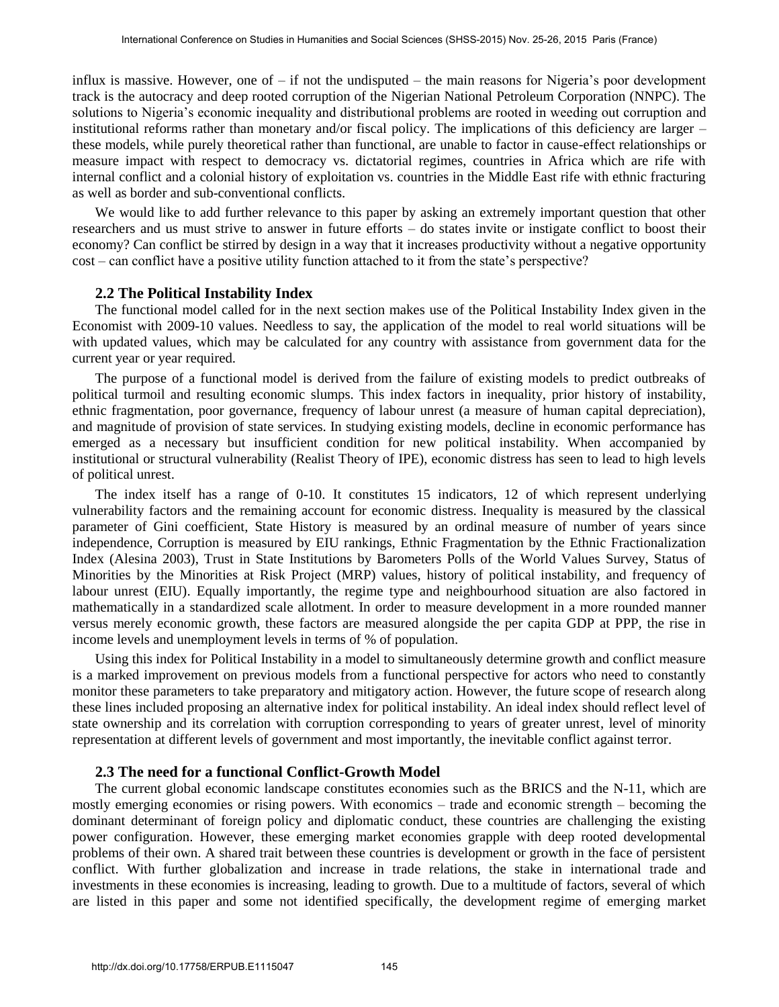influx is massive. However, one of – if not the undisputed – the main reasons for Nigeria's poor development track is the autocracy and deep rooted corruption of the Nigerian National Petroleum Corporation (NNPC). The solutions to Nigeria's economic inequality and distributional problems are rooted in weeding out corruption and institutional reforms rather than monetary and/or fiscal policy. The implications of this deficiency are larger – these models, while purely theoretical rather than functional, are unable to factor in cause-effect relationships or measure impact with respect to democracy vs. dictatorial regimes, countries in Africa which are rife with internal conflict and a colonial history of exploitation vs. countries in the Middle East rife with ethnic fracturing as well as border and sub-conventional conflicts.

We would like to add further relevance to this paper by asking an extremely important question that other researchers and us must strive to answer in future efforts – do states invite or instigate conflict to boost their economy? Can conflict be stirred by design in a way that it increases productivity without a negative opportunity cost – can conflict have a positive utility function attached to it from the state's perspective?

#### **2.2 The Political Instability Index**

The functional model called for in the next section makes use of the Political Instability Index given in the Economist with 2009-10 values. Needless to say, the application of the model to real world situations will be with updated values, which may be calculated for any country with assistance from government data for the current year or year required.

The purpose of a functional model is derived from the failure of existing models to predict outbreaks of political turmoil and resulting economic slumps. This index factors in inequality, prior history of instability, ethnic fragmentation, poor governance, frequency of labour unrest (a measure of human capital depreciation), and magnitude of provision of state services. In studying existing models, decline in economic performance has emerged as a necessary but insufficient condition for new political instability. When accompanied by institutional or structural vulnerability (Realist Theory of IPE), economic distress has seen to lead to high levels of political unrest.

The index itself has a range of 0-10. It constitutes 15 indicators, 12 of which represent underlying vulnerability factors and the remaining account for economic distress. Inequality is measured by the classical parameter of Gini coefficient, State History is measured by an ordinal measure of number of years since independence, Corruption is measured by EIU rankings, Ethnic Fragmentation by the Ethnic Fractionalization Index (Alesina 2003), Trust in State Institutions by Barometers Polls of the World Values Survey, Status of Minorities by the Minorities at Risk Project (MRP) values, history of political instability, and frequency of labour unrest (EIU). Equally importantly, the regime type and neighbourhood situation are also factored in mathematically in a standardized scale allotment. In order to measure development in a more rounded manner versus merely economic growth, these factors are measured alongside the per capita GDP at PPP, the rise in income levels and unemployment levels in terms of % of population.

Using this index for Political Instability in a model to simultaneously determine growth and conflict measure is a marked improvement on previous models from a functional perspective for actors who need to constantly monitor these parameters to take preparatory and mitigatory action. However, the future scope of research along these lines included proposing an alternative index for political instability. An ideal index should reflect level of state ownership and its correlation with corruption corresponding to years of greater unrest, level of minority representation at different levels of government and most importantly, the inevitable conflict against terror.

#### **2.3 The need for a functional Conflict-Growth Model**

The current global economic landscape constitutes economies such as the BRICS and the N-11, which are mostly emerging economies or rising powers. With economics – trade and economic strength – becoming the dominant determinant of foreign policy and diplomatic conduct, these countries are challenging the existing power configuration. However, these emerging market economies grapple with deep rooted developmental problems of their own. A shared trait between these countries is development or growth in the face of persistent conflict. With further globalization and increase in trade relations, the stake in international trade and investments in these economies is increasing, leading to growth. Due to a multitude of factors, several of which are listed in this paper and some not identified specifically, the development regime of emerging market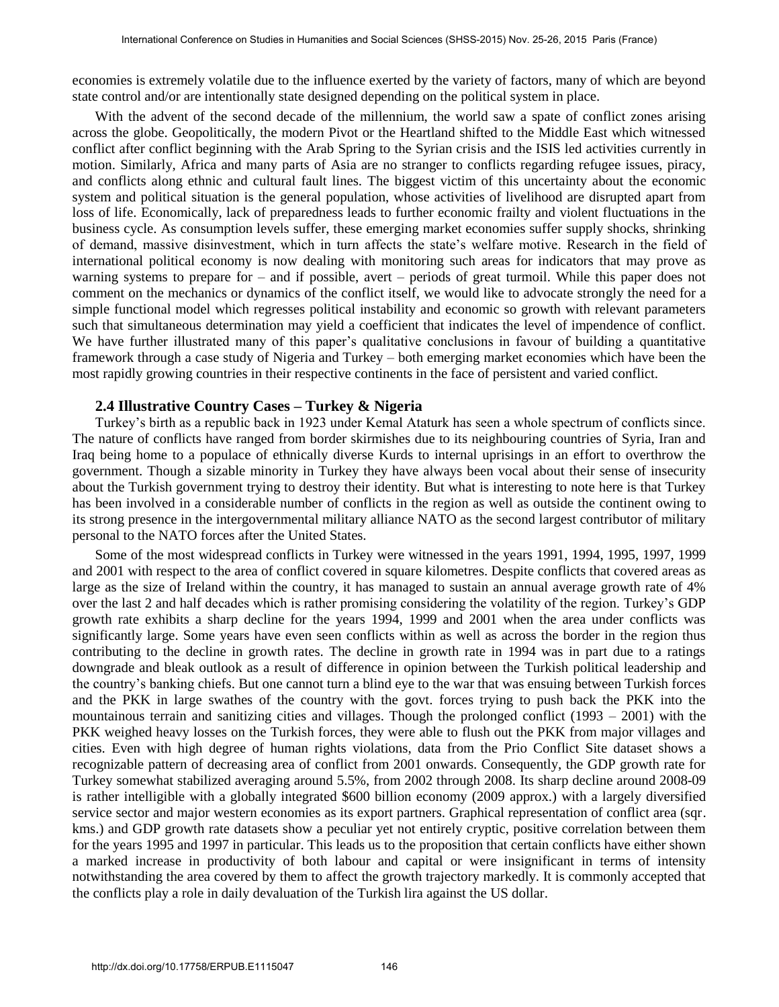economies is extremely volatile due to the influence exerted by the variety of factors, many of which are beyond state control and/or are intentionally state designed depending on the political system in place.

With the advent of the second decade of the millennium, the world saw a spate of conflict zones arising across the globe. Geopolitically, the modern Pivot or the Heartland shifted to the Middle East which witnessed conflict after conflict beginning with the Arab Spring to the Syrian crisis and the ISIS led activities currently in motion. Similarly, Africa and many parts of Asia are no stranger to conflicts regarding refugee issues, piracy, and conflicts along ethnic and cultural fault lines. The biggest victim of this uncertainty about the economic system and political situation is the general population, whose activities of livelihood are disrupted apart from loss of life. Economically, lack of preparedness leads to further economic frailty and violent fluctuations in the business cycle. As consumption levels suffer, these emerging market economies suffer supply shocks, shrinking of demand, massive disinvestment, which in turn affects the state's welfare motive. Research in the field of international political economy is now dealing with monitoring such areas for indicators that may prove as warning systems to prepare for – and if possible, avert – periods of great turmoil. While this paper does not comment on the mechanics or dynamics of the conflict itself, we would like to advocate strongly the need for a simple functional model which regresses political instability and economic so growth with relevant parameters such that simultaneous determination may yield a coefficient that indicates the level of impendence of conflict. We have further illustrated many of this paper's qualitative conclusions in favour of building a quantitative framework through a case study of Nigeria and Turkey – both emerging market economies which have been the most rapidly growing countries in their respective continents in the face of persistent and varied conflict.

#### **2.4 Illustrative Country Cases – Turkey & Nigeria**

Turkey's birth as a republic back in 1923 under Kemal Ataturk has seen a whole spectrum of conflicts since. The nature of conflicts have ranged from border skirmishes due to its neighbouring countries of Syria, Iran and Iraq being home to a populace of ethnically diverse Kurds to internal uprisings in an effort to overthrow the government. Though a sizable minority in Turkey they have always been vocal about their sense of insecurity about the Turkish government trying to destroy their identity. But what is interesting to note here is that Turkey has been involved in a considerable number of conflicts in the region as well as outside the continent owing to its strong presence in the intergovernmental military alliance NATO as the second largest contributor of military personal to the NATO forces after the United States.

Some of the most widespread conflicts in Turkey were witnessed in the years 1991, 1994, 1995, 1997, 1999 and 2001 with respect to the area of conflict covered in square kilometres. Despite conflicts that covered areas as large as the size of Ireland within the country, it has managed to sustain an annual average growth rate of 4% over the last 2 and half decades which is rather promising considering the volatility of the region. Turkey's GDP growth rate exhibits a sharp decline for the years 1994, 1999 and 2001 when the area under conflicts was significantly large. Some years have even seen conflicts within as well as across the border in the region thus contributing to the decline in growth rates. The decline in growth rate in 1994 was in part due to a ratings downgrade and bleak outlook as a result of difference in opinion between the Turkish political leadership and the country's banking chiefs. But one cannot turn a blind eye to the war that was ensuing between Turkish forces and the PKK in large swathes of the country with the govt. forces trying to push back the PKK into the mountainous terrain and sanitizing cities and villages. Though the prolonged conflict  $(1993 - 2001)$  with the PKK weighed heavy losses on the Turkish forces, they were able to flush out the PKK from major villages and cities. Even with high degree of human rights violations, data from the Prio Conflict Site dataset shows a recognizable pattern of decreasing area of conflict from 2001 onwards. Consequently, the GDP growth rate for Turkey somewhat stabilized averaging around 5.5%, from 2002 through 2008. Its sharp decline around 2008-09 is rather intelligible with a globally integrated \$600 billion economy (2009 approx.) with a largely diversified service sector and major western economies as its export partners. Graphical representation of conflict area (sqr. kms.) and GDP growth rate datasets show a peculiar yet not entirely cryptic, positive correlation between them for the years 1995 and 1997 in particular. This leads us to the proposition that certain conflicts have either shown a marked increase in productivity of both labour and capital or were insignificant in terms of intensity notwithstanding the area covered by them to affect the growth trajectory markedly. It is commonly accepted that the conflicts play a role in daily devaluation of the Turkish lira against the US dollar.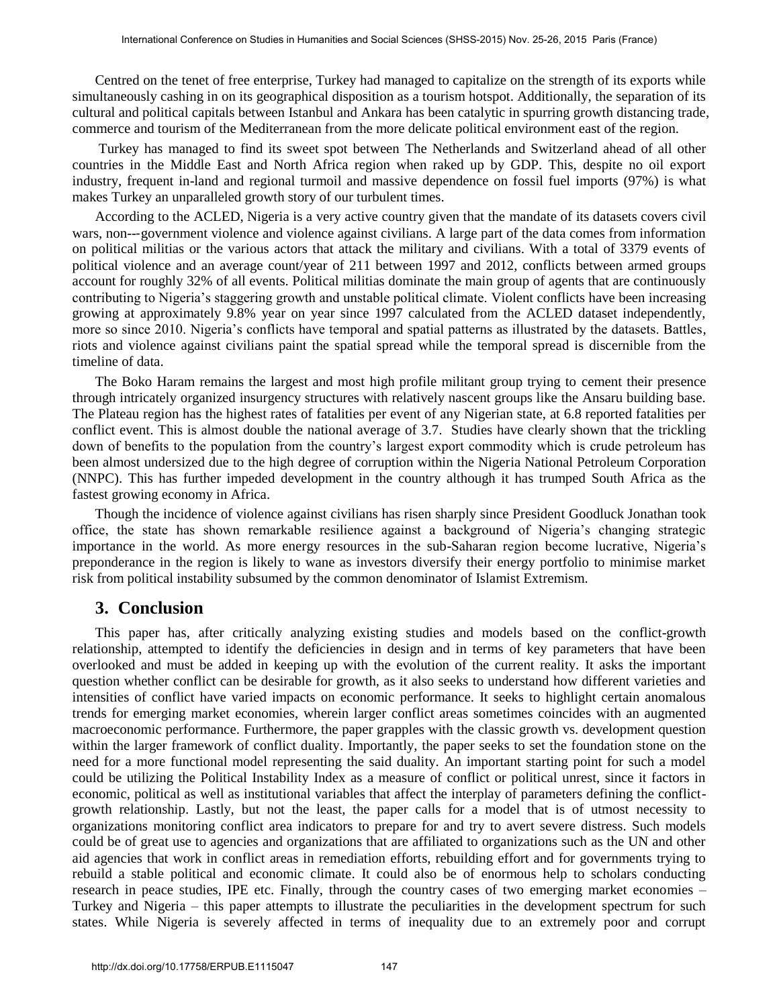Centred on the tenet of free enterprise, Turkey had managed to capitalize on the strength of its exports while simultaneously cashing in on its geographical disposition as a tourism hotspot. Additionally, the separation of its cultural and political capitals between Istanbul and Ankara has been catalytic in spurring growth distancing trade, commerce and tourism of the Mediterranean from the more delicate political environment east of the region.

Turkey has managed to find its sweet spot between The Netherlands and Switzerland ahead of all other countries in the Middle East and North Africa region when raked up by GDP. This, despite no oil export industry, frequent in-land and regional turmoil and massive dependence on fossil fuel imports (97%) is what makes Turkey an unparalleled growth story of our turbulent times.

According to the ACLED, Nigeria is a very active country given that the mandate of its datasets covers civil wars, non---government violence and violence against civilians. A large part of the data comes from information on political militias or the various actors that attack the military and civilians. With a total of 3379 events of political violence and an average count/year of 211 between 1997 and 2012, conflicts between armed groups account for roughly 32% of all events. Political militias dominate the main group of agents that are continuously contributing to Nigeria's staggering growth and unstable political climate. Violent conflicts have been increasing growing at approximately 9.8% year on year since 1997 calculated from the ACLED dataset independently, more so since 2010. Nigeria's conflicts have temporal and spatial patterns as illustrated by the datasets. Battles, riots and violence against civilians paint the spatial spread while the temporal spread is discernible from the timeline of data.

The Boko Haram remains the largest and most high profile militant group trying to cement their presence through intricately organized insurgency structures with relatively nascent groups like the Ansaru building base. The Plateau region has the highest rates of fatalities per event of any Nigerian state, at 6.8 reported fatalities per conflict event. This is almost double the national average of 3.7. Studies have clearly shown that the trickling down of benefits to the population from the country's largest export commodity which is crude petroleum has been almost undersized due to the high degree of corruption within the Nigeria National Petroleum Corporation (NNPC). This has further impeded development in the country although it has trumped South Africa as the fastest growing economy in Africa.

Though the incidence of violence against civilians has risen sharply since President Goodluck Jonathan took office, the state has shown remarkable resilience against a background of Nigeria's changing strategic importance in the world. As more energy resources in the sub-Saharan region become lucrative, Nigeria's preponderance in the region is likely to wane as investors diversify their energy portfolio to minimise market risk from political instability subsumed by the common denominator of Islamist Extremism.

### **3. Conclusion**

This paper has, after critically analyzing existing studies and models based on the conflict-growth relationship, attempted to identify the deficiencies in design and in terms of key parameters that have been overlooked and must be added in keeping up with the evolution of the current reality. It asks the important question whether conflict can be desirable for growth, as it also seeks to understand how different varieties and intensities of conflict have varied impacts on economic performance. It seeks to highlight certain anomalous trends for emerging market economies, wherein larger conflict areas sometimes coincides with an augmented macroeconomic performance. Furthermore, the paper grapples with the classic growth vs. development question within the larger framework of conflict duality. Importantly, the paper seeks to set the foundation stone on the need for a more functional model representing the said duality. An important starting point for such a model could be utilizing the Political Instability Index as a measure of conflict or political unrest, since it factors in economic, political as well as institutional variables that affect the interplay of parameters defining the conflictgrowth relationship. Lastly, but not the least, the paper calls for a model that is of utmost necessity to organizations monitoring conflict area indicators to prepare for and try to avert severe distress. Such models could be of great use to agencies and organizations that are affiliated to organizations such as the UN and other aid agencies that work in conflict areas in remediation efforts, rebuilding effort and for governments trying to rebuild a stable political and economic climate. It could also be of enormous help to scholars conducting research in peace studies, IPE etc. Finally, through the country cases of two emerging market economies – Turkey and Nigeria – this paper attempts to illustrate the peculiarities in the development spectrum for such states. While Nigeria is severely affected in terms of inequality due to an extremely poor and corrupt